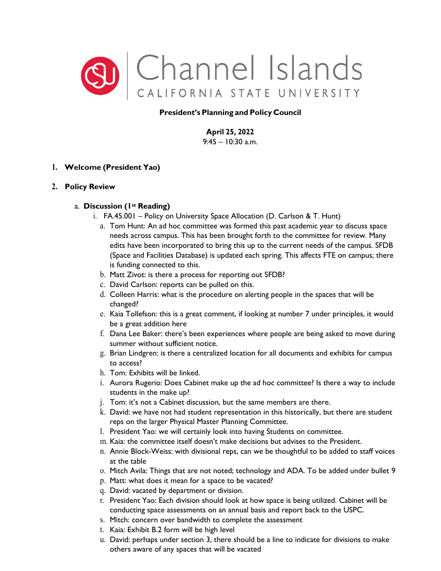

# **President's Planning and Policy Council**

**April 25, 2022**  $9:45 - 10:30$  a.m.

# **1. Welcome (President Yao)**

### **2. Policy Review**

### a. **Discussion (1st Reading)**

- i. FA.45.001 Policy on University Space Allocation (D. Carlson & T. Hunt)
	- a. Tom Hunt: An ad hoc committee was formed this past academic year to discuss space needs across campus. This has been brought forth to the committee for review. Many edits have been incorporated to bring this up to the current needs of the campus. SFDB (Space and Facilities Database) is updated each spring. This affects FTE on campus; there is funding connected to this.
	- b. Matt Zivot: is there a process for reporting out SFDB?
	- c. David Carlson: reports can be pulled on this.
	- d. Colleen Harris: what is the procedure on alerting people in the spaces that will be changed?
	- e. Kaia Tollefson: this is a great comment, if looking at number 7 under principles, it would be a great addition here
	- f. Dana Lee Baker: there's been experiences where people are being asked to move during summer without sufficient notice.
	- g. Brian Lindgren: is there a centralized location for all documents and exhibits for campus to access?
	- h. Tom: Exhibits will be linked.
	- i. Aurora Rugerio: Does Cabinet make up the ad hoc committee? Is there a way to include students in the make up?
	- j. Tom: it's not a Cabinet discussion, but the same members are there.
	- k. David: we have not had student representation in this historically, but there are student reps on the larger Physical Master Planning Committee.
	- l. President Yao: we will certainly look into having Students on committee.
	- m. Kaia: the committee itself doesn't make decisions but advises to the President.
	- n. Annie Block-Weiss: with divisional reps, can we be thoughtful to be added to staff voices at the table
	- o. Mitch Avila: Things that are not noted; technology and ADA. To be added under bullet 9
	- p. Matt: what does it mean for a space to be vacated?
	- q. David: vacated by department or division.
	- r. President Yao: Each division should look at how space is being utilized. Cabinet will be conducting space assessments on an annual basis and report back to the USPC.
	- s. Mitch: concern over bandwidth to complete the assessment
	- t. Kaia: Exhibit B.2 form will be high level
	- u. David: perhaps under section 3, there should be a line to indicate for divisions to make others aware of any spaces that will be vacated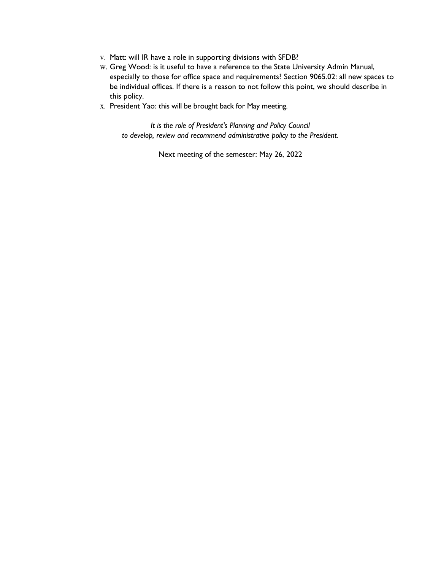- v. Matt: will IR have a role in supporting divisions with SFDB?
- w. Greg Wood: is it useful to have a reference to the State University Admin Manual, especially to those for office space and requirements? Section 9065.02: all new spaces to be individual offices. If there is a reason to not follow this point, we should describe in this policy.
- x. President Yao: this will be brought back for May meeting.

*It is the role of President's Planning and Policy Council to develop, review and recommend administrative policy to the President.*

Next meeting of the semester: May 26, 2022